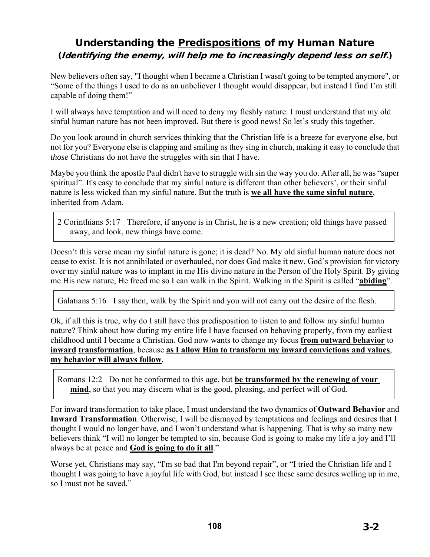# Understanding the Predispositions of my Human Nature (Identifying the enemy, will help me to increasingly depend less on self.)

New believers often say, "I thought when I became a Christian I wasn't going to be tempted anymore", or "Some of the things I used to do as an unbeliever I thought would disappear, but instead I find I'm still capable of doing them!"

I will always have temptation and will need to deny my fleshly nature. I must understand that my old sinful human nature has not been improved. But there is good news! So let's study this together.

Do you look around in church services thinking that the Christian life is a breeze for everyone else, but not for you? Everyone else is clapping and smiling as they sing in church, making it easy to conclude that *those* Christians do not have the struggles with sin that I have.

Maybe you think the apostle Paul didn't have to struggle with sin the way you do. After all, he was "super spiritual". It's easy to conclude that my sinful nature is different than other believers', or their sinful nature is less wicked than my sinful nature. But the truth is **we all have the same sinful nature**, inherited from Adam.

2 Corinthians 5:17 Therefore, if anyone is in Christ, he is a new creation; old things have passed away, and look, new things have come.

Doesn't this verse mean my sinful nature is gone; it is dead? No. My old sinful human nature does not cease to exist. It is not annihilated or overhauled, nor does God make it new. God's provision for victory over my sinful nature was to implant in me His divine nature in the Person of the Holy Spirit. By giving me His new nature, He freed me so I can walk in the Spirit. Walking in the Spirit is called "**abiding**".

Galatians 5:16 I say then, walk by the Spirit and you will not carry out the desire of the flesh.

Ok, if all this is true, why do I still have this predisposition to listen to and follow my sinful human nature? Think about how during my entire life I have focused on behaving properly, from my earliest childhood until I became a Christian. God now wants to change my focus **from outward behavior** to **inward transformation**, because **as I allow Him to transform my inward convictions and values**, **my behavior will always follow**.

Romans 12:2 Do not be conformed to this age, but **be transformed by the renewing of your mind**, so that you may discern what is the good, pleasing, and perfect will of God.

For inward transformation to take place, I must understand the two dynamics of **Outward Behavior** and **Inward Transformation**. Otherwise, I will be dismayed by temptations and feelings and desires that I thought I would no longer have, and I won't understand what is happening. That is why so many new believers think "I will no longer be tempted to sin, because God is going to make my life a joy and I'll always be at peace and **God is going to do it all**."

Worse yet, Christians may say, "I'm so bad that I'm beyond repair", or "I tried the Christian life and I thought I was going to have a joyful life with God, but instead I see these same desires welling up in me, so I must not be saved."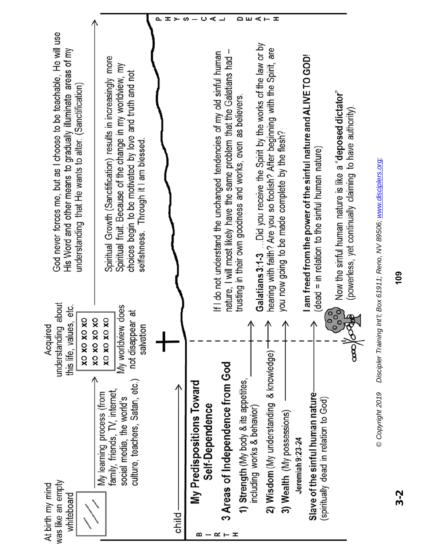|                                                                                                                                                                                             |                                                                                                                                                                                                                                       | ᆂ<br>≻ | ロヨスエロ<br>⋖<br>ၯ<br>ပ                                                                                                                                                                                                                                                                                                                                                                                                                                                                                                                                                                                                                                                                  |                                                                                          |
|---------------------------------------------------------------------------------------------------------------------------------------------------------------------------------------------|---------------------------------------------------------------------------------------------------------------------------------------------------------------------------------------------------------------------------------------|--------|---------------------------------------------------------------------------------------------------------------------------------------------------------------------------------------------------------------------------------------------------------------------------------------------------------------------------------------------------------------------------------------------------------------------------------------------------------------------------------------------------------------------------------------------------------------------------------------------------------------------------------------------------------------------------------------|------------------------------------------------------------------------------------------|
| God never forces me, but as I choose to be teachable, He will use<br>His Word and other means to gradually illuminate areas of my<br>understanding that He wants to alter. (Sanctification) | Spiritual Growth (Sanctification) results in increasingly more<br>Spiritual fruit. Because of the change in my worldview, my<br>choices begin to be motivated by love and truth and not<br>selfishness. Through it I am blessed.      |        | Galatians 3:1-3  Did you receive the Spirit by the works of the law or by<br>are<br>nature, I will most likely have the same problem that the Galatians had -<br>If I do not understand the unchanged tendencies of my old sinful human<br>I am freed from the power of the sinful nature and ALIVE TO GOD!<br>hearing with faith? Are you so foolish? After beginning with the Spirit,<br>Now the sinful human nature is like a "deposed dictator"<br>trusting in their own goodness and works, even as believers.<br>(powerless, yet continually claiming to have authority).<br>you now going to be made complete by the flesh?<br>(dead = in relation to the sinful human nature) |                                                                                          |
| about<br>this life, values, etc.<br>XO<br>Acquired<br>understanding<br>XO XO XO                                                                                                             | My worldview does<br>not disappear at<br>$\mathbf{\hat{x}}$<br>χO<br>salvation<br>XO XO XO<br>XO XO XO<br>culture, teachers, Satan, etc.)<br>family, friends, TV, internet,<br>My learning process (from<br>social media, the world's |        | ွိႏွိ<br><b>A</b><br>∧<br>∧<br>∧<br>∧<br>2) Wisdom (My understanding & knowledge)<br>$\overline{9}$<br>3 Areas of Independence from God<br>1) Strength (My body & its appetites,<br>My Predispositions Toward<br>Slave of the sinful human nature<br>(spiritually dead in relation to God)<br>Self-Dependence<br>including works & behavior)<br>3) Wealth (My possessions)<br>Jeremiah 9:23-24                                                                                                                                                                                                                                                                                        | @Convinint 2010 Discipler Training Int'l: Box 61011: Dana NI/ 80506: unnu disciplers one |
| was like an empty<br>At birth my mind<br>whiteboard                                                                                                                                         |                                                                                                                                                                                                                                       | child- | ᆂ<br>≃<br>≃                                                                                                                                                                                                                                                                                                                                                                                                                                                                                                                                                                                                                                                                           |                                                                                          |

Discipler Training Int'l; Box 61911; Reno, NV 89506; www.disciplers.org; *© Copyright 2019 Discipler Training Int'l; Box 61911; Reno, NV 89506; www.disciplers.org;* e Copyright 2019

**109**

3-2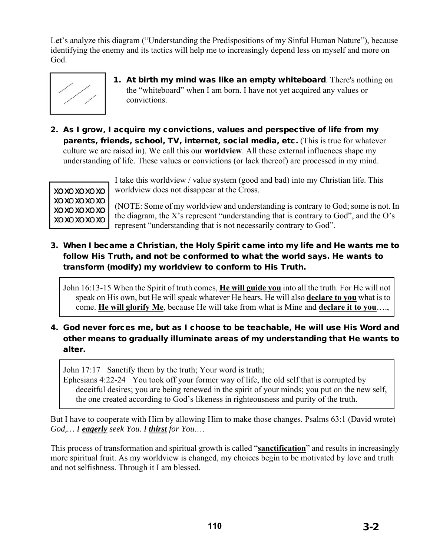Let's analyze this diagram ("Understanding the Predispositions of my Sinful Human Nature"), because identifying the enemy and its tactics will help me to increasingly depend less on myself and more on God.



- 1. At birth my mind was like an empty whiteboard. There's nothing on the "whiteboard" when I am born. I have not yet acquired any values or convictions.
- 2. As I grow, I acquire my convictions, values and perspective of life from my parents, friends, school, TV, internet, social media, etc. (This is true for whatever culture we are raised in). We call this our **worldview**. All these external influences shape my understanding of life. These values or convictions (or lack thereof) are processed in my mind.



I take this worldview / value system (good and bad) into my Christian life. This worldview does not disappear at the Cross.

(NOTE: Some of my worldview and understanding is contrary to God; some is not. In the diagram, the X's represent "understanding that is contrary to God", and the O's represent "understanding that is not necessarily contrary to God".

3. When I became a Christian, the Holy Spirit came into my life and He wants me to follow His Truth, and not be conformed to what the world says. He wants to transform (modify) my worldview to conform to His Truth.

John 16:13-15 When the Spirit of truth comes, **He will guide you** into all the truth. For He will not speak on His own, but He will speak whatever He hears. He will also **declare to you** what is to come. **He will glorify Me**, because He will take from what is Mine and **declare it to you**….,

4. God never forces me, but as I choose to be teachable, He will use His Word and other means to gradually illuminate areas of my understanding that He wants to alter.

John 17:17 Sanctify them by the truth; Your word is truth;

Ephesians 4:22-24 You took off your former way of life, the old self that is corrupted by deceitful desires; you are being renewed in the spirit of your minds; you put on the new self, the one created according to God's likeness in righteousness and purity of the truth.

But I have to cooperate with Him by allowing Him to make those changes. Psalms 63:1 (David wrote) *God,… I eagerly seek You. I thirst for You*.…

This process of transformation and spiritual growth is called "**sanctification**" and results in increasingly more spiritual fruit. As my worldview is changed, my choices begin to be motivated by love and truth and not selfishness. Through it I am blessed.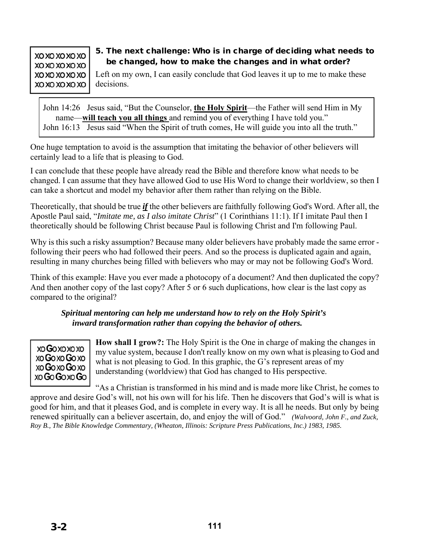### 5. The next challenge: Who is in charge of deciding what needs to be changed, how to make the changes and in what order?

Left on my own, I can easily conclude that God leaves it up to me to make these decisions.

John 14:26 Jesus said, "But the Counselor, **the Holy Spirit**—the Father will send Him in My name—**will teach you all things** and remind you of everything I have told you." John 16:13 Jesus said "When the Spirit of truth comes, He will guide you into all the truth."

One huge temptation to avoid is the assumption that imitating the behavior of other believers will certainly lead to a life that is pleasing to God.

I can conclude that these people have already read the Bible and therefore know what needs to be changed. I can assume that they have allowed God to use His Word to change their worldview, so then I can take a shortcut and model my behavior after them rather than relying on the Bible.

Theoretically, that should be true *if* the other believers are faithfully following God's Word. After all, the Apostle Paul said, "*Imitate me, as I also imitate Christ*" (1 Corinthians 11:1). If I imitate Paul then I theoretically should be following Christ because Paul is following Christ and I'm following Paul.

Why is this such a risky assumption? Because many older believers have probably made the same error following their peers who had followed their peers. And so the process is duplicated again and again, resulting in many churches being filled with believers who may or may not be following God's Word.

Think of this example: Have you ever made a photocopy of a document? And then duplicated the copy? And then another copy of the last copy? After 5 or 6 such duplications, how clear is the last copy as compared to the original?

#### *Spiritual mentoring can help me understand how to rely on the Holy Spirit's inward transformation rather than copying the behavior of others.*



**How shall I grow?:** The Holy Spirit is the One in charge of making the changes in my value system, because I don't really know on my own what is pleasing to God and what is not pleasing to God. In this graphic, the G's represent areas of my understanding (worldview) that God has changed to His perspective.

"As a Christian is transformed in his mind and is made more like Christ, he comes to approve and desire God's will, not his own will for his life. Then he discovers that God's will is what is good for him, and that it pleases God, and is complete in every way. It is all he needs. But only by being renewed spiritually can a believer ascertain, do, and enjoy the will of God." *(Walvoord, John F., and Zuck, Roy B., The Bible Knowledge Commentary, (Wheaton, Illinois: Scripture Press Publications, Inc.) 1983, 1985.*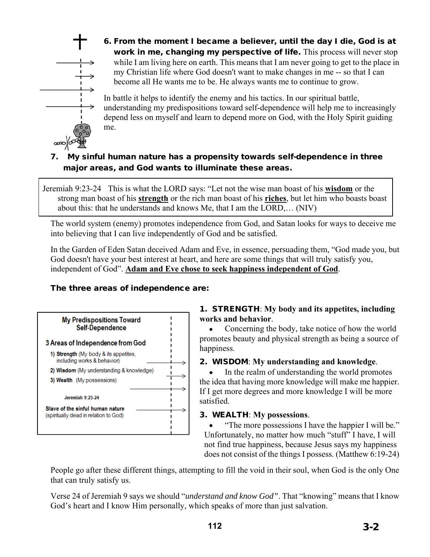

6. From the moment I became a believer, until the day I die, God is at work in me, changing my perspective of life. This process will never stop while I am living here on earth. This means that I am never going to get to the place in my Christian life where God doesn't want to make changes in me -- so that I can become all He wants me to be. He always wants me to continue to grow.

In battle it helps to identify the enemy and his tactics. In our spiritual battle, understanding my predispositions toward self-dependence will help me to increasingly depend less on myself and learn to depend more on God, with the Holy Spirit guiding me.

## 7. My sinful human nature has a propensity towards self-dependence in three major areas, and God wants to illuminate these areas.

Jeremiah 9:23-24 This is what the LORD says: "Let not the wise man boast of his **wisdom** or the strong man boast of his **strength** or the rich man boast of his **riches**, but let him who boasts boast about this: that he understands and knows Me, that I am the LORD,… (NIV)

The world system (enemy) promotes independence from God, and Satan looks for ways to deceive me into believing that I can live independently of God and be satisfied.

In the Garden of Eden Satan deceived Adam and Eve, in essence, persuading them, "God made you, but God doesn't have your best interest at heart, and here are some things that will truly satisfy you, independent of God". **Adam and Eve chose to seek happiness independent of God**.

### The three areas of independence are:



### 1. STRENGTH: **My body and its appetites, including works and behavior**.

 Concerning the body, take notice of how the world promotes beauty and physical strength as being a source of happiness.

### 2. WISDOM: **My understanding and knowledge**.

• In the realm of understanding the world promotes the idea that having more knowledge will make me happier. If I get more degrees and more knowledge I will be more satisfied.

### 3. WEALTH: **My possessions**.

 "The more possessions I have the happier I will be." Unfortunately, no matter how much "stuff" I have, I will not find true happiness, because Jesus says my happiness does not consist of the things I possess. (Matthew 6:19-24)

People go after these different things, attempting to fill the void in their soul, when God is the only One that can truly satisfy us.

Verse 24 of Jeremiah 9 says we should "*understand and know God"*. That "knowing" means that I know God's heart and I know Him personally, which speaks of more than just salvation.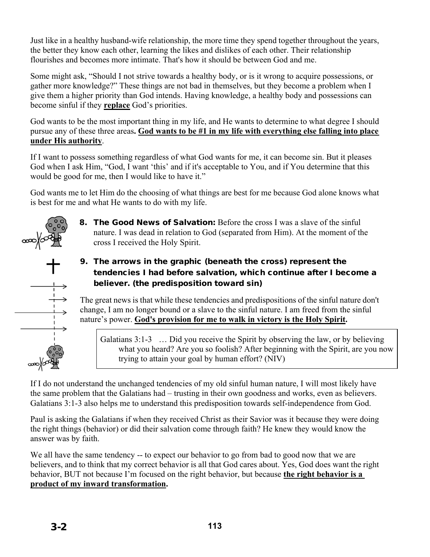Just like in a healthy husband-wife relationship, the more time they spend together throughout the years, the better they know each other, learning the likes and dislikes of each other. Their relationship flourishes and becomes more intimate. That's how it should be between God and me.

Some might ask, "Should I not strive towards a healthy body, or is it wrong to acquire possessions, or gather more knowledge?" These things are not bad in themselves, but they become a problem when I give them a higher priority than God intends. Having knowledge, a healthy body and possessions can become sinful if they **replace** God's priorities.

God wants to be the most important thing in my life, and He wants to determine to what degree I should pursue any of these three areas**. God wants to be #1 in my life with everything else falling into place under His authority**.

If I want to possess something regardless of what God wants for me, it can become sin. But it pleases God when I ask Him, "God, I want 'this' and if it's acceptable to You, and if You determine that this would be good for me, then I would like to have it."

God wants me to let Him do the choosing of what things are best for me because God alone knows what is best for me and what He wants to do with my life.



- **8.** The Good News of Salvation: Before the cross I was a slave of the sinful nature. I was dead in relation to God (separated from Him). At the moment of the cross I received the Holy Spirit.
- 9. The arrows in the graphic (beneath the cross) represent the tendencies I had before salvation, which continue after I become a believer. (the predisposition toward sin)

The great news is that while these tendencies and predispositions of the sinful nature don't change, I am no longer bound or a slave to the sinful nature. I am freed from the sinful nature's power. **God's provision for me to walk in victory is the Holy Spirit.**



Galatians 3:1-3 ... Did you receive the Spirit by observing the law, or by believing what you heard? Are you so foolish? After beginning with the Spirit, are you now trying to attain your goal by human effort? (NIV)

If I do not understand the unchanged tendencies of my old sinful human nature, I will most likely have the same problem that the Galatians had – trusting in their own goodness and works, even as believers. Galatians 3:1-3 also helps me to understand this predisposition towards self-independence from God.

Paul is asking the Galatians if when they received Christ as their Savior was it because they were doing the right things (behavior) or did their salvation come through faith? He knew they would know the answer was by faith.

We all have the same tendency -- to expect our behavior to go from bad to good now that we are believers, and to think that my correct behavior is all that God cares about. Yes, God does want the right behavior, BUT not because I'm focused on the right behavior, but because **the right behavior is a product of my inward transformation.**